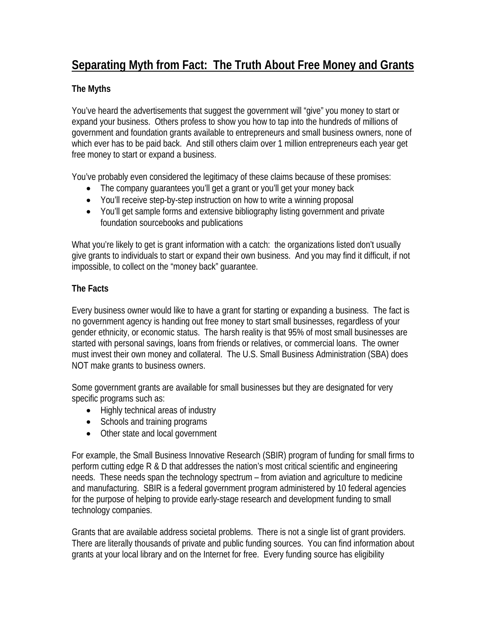# **Separating Myth from Fact: The Truth About Free Money and Grants**

## **The Myths**

You've heard the advertisements that suggest the government will "give" you money to start or expand your business. Others profess to show you how to tap into the hundreds of millions of government and foundation grants available to entrepreneurs and small business owners, none of which ever has to be paid back. And still others claim over 1 million entrepreneurs each year get free money to start or expand a business.

You've probably even considered the legitimacy of these claims because of these promises:

- The company guarantees you'll get a grant or you'll get your money back
- You'll receive step-by-step instruction on how to write a winning proposal
- You'll get sample forms and extensive bibliography listing government and private foundation sourcebooks and publications

What you're likely to get is grant information with a catch: the organizations listed don't usually give grants to individuals to start or expand their own business. And you may find it difficult, if not impossible, to collect on the "money back" guarantee.

# **The Facts**

Every business owner would like to have a grant for starting or expanding a business. The fact is no government agency is handing out free money to start small businesses, regardless of your gender ethnicity, or economic status. The harsh reality is that 95% of most small businesses are started with personal savings, loans from friends or relatives, or commercial loans. The owner must invest their own money and collateral. The U.S. Small Business Administration (SBA) does NOT make grants to business owners.

Some government grants are available for small businesses but they are designated for very specific programs such as:

- Highly technical areas of industry
- Schools and training programs
- Other state and local government

For example, the Small Business Innovative Research (SBIR) program of funding for small firms to perform cutting edge R & D that addresses the nation's most critical scientific and engineering needs. These needs span the technology spectrum – from aviation and agriculture to medicine and manufacturing. SBIR is a federal government program administered by 10 federal agencies for the purpose of helping to provide early-stage research and development funding to small technology companies.

Grants that are available address societal problems. There is not a single list of grant providers. There are literally thousands of private and public funding sources. You can find information about grants at your local library and on the Internet for free. Every funding source has eligibility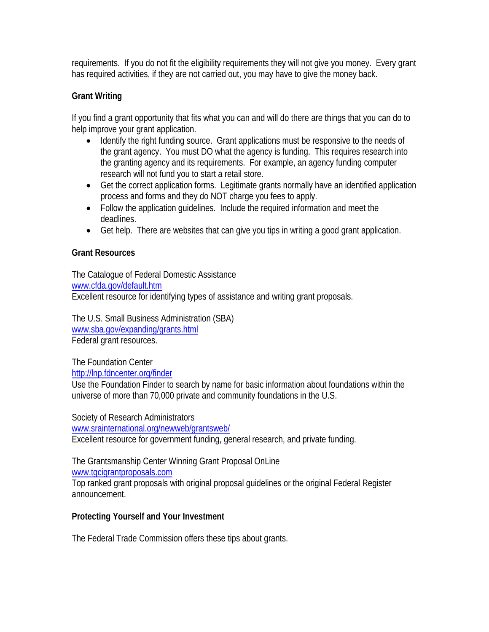requirements. If you do not fit the eligibility requirements they will not give you money. Every grant has required activities, if they are not carried out, you may have to give the money back.

#### **Grant Writing**

If you find a grant opportunity that fits what you can and will do there are things that you can do to help improve your grant application.

- Identify the right funding source. Grant applications must be responsive to the needs of the grant agency. You must DO what the agency is funding. This requires research into the granting agency and its requirements. For example, an agency funding computer research will not fund you to start a retail store.
- Get the correct application forms. Legitimate grants normally have an identified application process and forms and they do NOT charge you fees to apply.
- Follow the application guidelines. Include the required information and meet the deadlines.
- Get help. There are websites that can give you tips in writing a good grant application.

#### **Grant Resources**

The Catalogue of Federal Domestic Assistance www.cfda.gov/default.htm Excellent resource for identifying types of assistance and writing grant proposals.

The U.S. Small Business Administration (SBA) www.sba.gov/expanding/grants.html Federal grant resources.

The Foundation Center http://lnp.fdncenter.org/finder

Use the Foundation Finder to search by name for basic information about foundations within the universe of more than 70,000 private and community foundations in the U.S.

Society of Research Administrators

www.srainternational.org/newweb/grantsweb/

Excellent resource for government funding, general research, and private funding.

The Grantsmanship Center Winning Grant Proposal OnLine

www.tgcigrantproposals.com

Top ranked grant proposals with original proposal guidelines or the original Federal Register announcement.

## **Protecting Yourself and Your Investment**

The Federal Trade Commission offers these tips about grants.